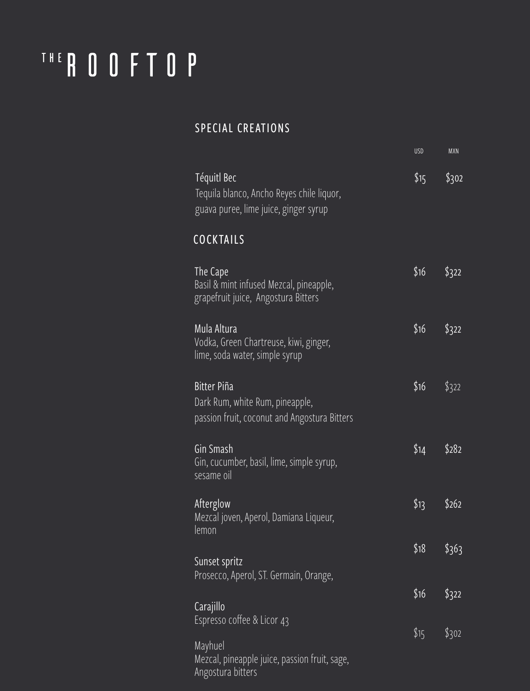# THE ROOFTOP

#### SPECIAL CREATIONS

|                                                                                                       | <b>USD</b> | <b>MXN</b> |
|-------------------------------------------------------------------------------------------------------|------------|------------|
| Téquitl Bec<br>Tequila blanco, Ancho Reyes chile liquor,<br>guava puree, lime juice, ginger syrup     | \$15       | \$302      |
| <b>COCKTAILS</b>                                                                                      |            |            |
| The Cape<br>Basil & mint infused Mezcal, pineapple,<br>grapefruit juice, Angostura Bitters            | \$16       | \$322      |
| Mula Altura<br>Vodka, Green Chartreuse, kiwi, ginger,<br>lime, soda water, simple syrup               | \$16       | \$322      |
| <b>Bitter Piña</b><br>Dark Rum, white Rum, pineapple,<br>passion fruit, coconut and Angostura Bitters | \$16       | \$322      |
| Gin Smash<br>Gin, cucumber, basil, lime, simple syrup,<br>sesame oil                                  | \$14       | \$282      |
| Afterglow<br>Mezcal joven, Aperol, Damiana Liqueur,<br>lemon                                          | \$13       | \$262      |
| Sunset spritz<br>Prosecco, Aperol, ST. Germain, Orange,                                               | \$18       | \$363      |
| Carajillo                                                                                             | \$16       | \$322      |
| Espresso coffee & Licor 43                                                                            | \$15       | \$302      |
| Mayhuel<br>Mezcal, pineapple juice, passion fruit, sage,<br>Angostura bitters                         |            |            |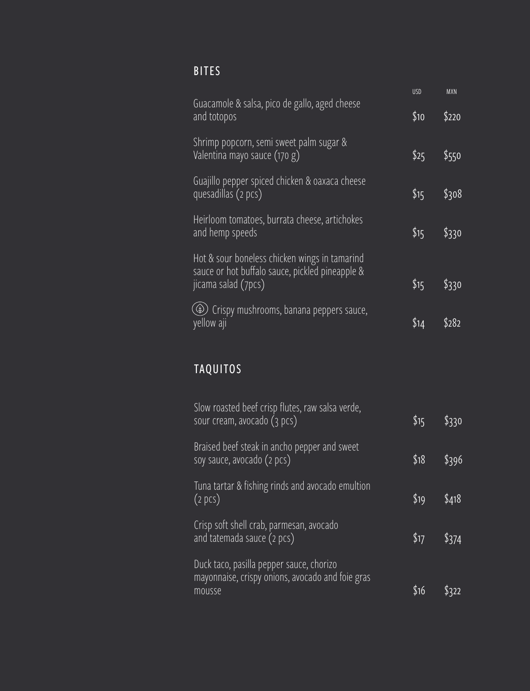# BITES

|                                                                                                                         | <b>USD</b> | <b>MXN</b> |
|-------------------------------------------------------------------------------------------------------------------------|------------|------------|
| Guacamole & salsa, pico de gallo, aged cheese<br>and totopos                                                            |            | \$220      |
| Shrimp popcorn, semi sweet palm sugar &<br>Valentina mayo sauce (170 g)                                                 | \$25       | \$550      |
| Guajillo pepper spiced chicken & oaxaca cheese<br>quesadillas (2 pcs)                                                   | \$15       | \$308      |
| Heirloom tomatoes, burrata cheese, artichokes<br>and hemp speeds                                                        | \$15       | \$330      |
| Hot & sour boneless chicken wings in tamarind<br>sauce or hot buffalo sauce, pickled pineapple &<br>jicama salad (7pcs) | \$15       | \$330      |
| Crispy mushrooms, banana peppers sauce,<br>$\circledast$<br>yellow aji                                                  | $\$14$     |            |

# TAQUITOS

| Slow roasted beef crisp flutes, raw salsa verde,<br>sour cream, avocado (3 pcs)                        | \$15 | \$330         |
|--------------------------------------------------------------------------------------------------------|------|---------------|
| Braised beef steak in ancho pepper and sweet<br>soy sauce, avocado (2 pcs)                             | \$18 | \$396         |
| Tuna tartar & fishing rinds and avocado emultion<br>(2 pcs)                                            | \$19 | \$418         |
| Crisp soft shell crab, parmesan, avocado<br>and tatemada sauce (2 pcs)                                 | \$17 | $\sqrt{3374}$ |
| Duck taco, pasilla pepper sauce, chorizo<br>mayonnaise, crispy onions, avocado and foie gras<br>mousse | \$16 |               |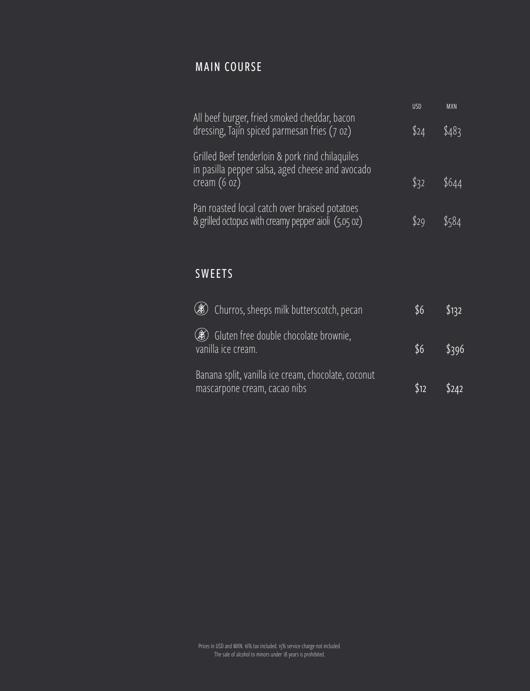#### MAIN COURSE

| <b>USD</b> | <b>MXN</b> |
|------------|------------|
| \$24       | \$483      |
|            |            |
| \$32       | \$644      |
| \$29       |            |
|            |            |

#### SWEETS

| (3) Churros, sheeps milk butterscotch, pecan                                        | \$6  | \$132 |
|-------------------------------------------------------------------------------------|------|-------|
| ( ) Gluten free double chocolate brownie,<br>vanilla ice cream.                     | \$6  | \$396 |
| Banana split, vanilla ice cream, chocolate, coconut<br>mascarpone cream, cacao nibs | \$12 | \$242 |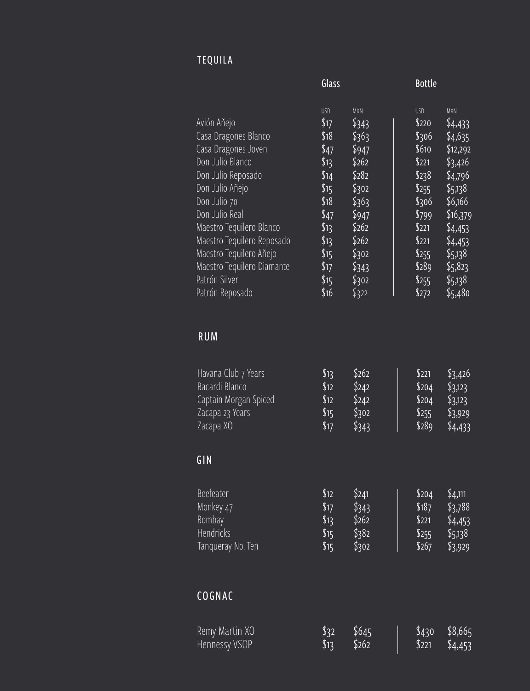## TEQUILA

|                                                                                                                                                                                                                                                                                                                  | Glass                                                                                                                      |                                                                                                                                          | <b>Bottle</b>                                                                                                                            |                                                                                                                                                                               |
|------------------------------------------------------------------------------------------------------------------------------------------------------------------------------------------------------------------------------------------------------------------------------------------------------------------|----------------------------------------------------------------------------------------------------------------------------|------------------------------------------------------------------------------------------------------------------------------------------|------------------------------------------------------------------------------------------------------------------------------------------|-------------------------------------------------------------------------------------------------------------------------------------------------------------------------------|
| Avión Añejo<br>Casa Dragones Blanco<br>Casa Dragones Joven<br>Don Julio Blanco<br>Don Julio Reposado<br>Don Julio Añejo<br>Don Julio 70<br>Don Julio Real<br>Maestro Tequilero Blanco<br>Maestro Tequilero Reposado<br>Maestro Tequilero Añejo<br>Maestro Tequilero Diamante<br>Patrón Silver<br>Patrón Reposado | <b>USD</b><br>\$17<br>\$18<br>\$47<br>\$13<br>\$14<br>\$15<br>\$18<br>\$47<br>\$13<br>\$13<br>\$15<br>\$17<br>\$15<br>\$16 | <b>MXN</b><br>\$343<br>\$363<br>\$947<br>\$262<br>\$282<br>\$302<br>\$363<br>\$947<br>\$262<br>\$262<br>\$302<br>\$343<br>\$302<br>\$322 | <b>USD</b><br>\$220<br>\$306<br>\$610<br>\$221<br>\$238<br>\$255<br>\$306<br>\$799<br>\$221<br>\$221<br>\$255<br>\$289<br>\$255<br>\$272 | <b>MXN</b><br>\$4,433<br>\$4,635<br>\$12,292<br>\$3,426<br>\$4,796<br>\$5,138<br>\$6,166<br>\$16,379<br>\$4,453<br>\$4,453<br>\$5,138<br>\$5,823<br>\$5,138<br>$\sqrt{5,480}$ |

### RUM

| Havana Club 7 Years<br>Bacardi Blanco<br>Captain Morgan Spiced<br>Zacapa 23 Years<br>Zacapa XO<br>GIN | \$13<br>\$12<br>\$12<br>\$15<br>\$17         | $\frac{6}{262}$<br>$\sqrt{242}$<br>\$242<br>\$302<br>\$343 | $\sqrt{$221}$<br>\$204<br>\$204<br>\$255<br>\$289 | \$3,426<br>$\frac{1}{2}3,123$<br>\$3,123<br>\$3,929<br>$\sqrt[6]{4,433}$ |
|-------------------------------------------------------------------------------------------------------|----------------------------------------------|------------------------------------------------------------|---------------------------------------------------|--------------------------------------------------------------------------|
|                                                                                                       |                                              |                                                            |                                                   |                                                                          |
| <b>Beefeater</b><br>Monkey 47<br>Bombay<br>Hendricks<br>Tanqueray No. Ten                             | \$12<br>\$17<br>\$13<br>$\sqrt{$15}$<br>\$15 | \$241<br>\$343<br>\$262<br>\$382<br>\$302                  | \$204<br>\$187<br>\$221<br>\$255<br>\$267         | \$4,111<br>\$3,788<br>\$4,453<br>\$5,138<br>\$3,929                      |
| COGNAC                                                                                                |                                              |                                                            |                                                   |                                                                          |
| Remy Martin XO<br>Hennessy VSOP                                                                       | \$32<br>\$13                                 | \$645<br>\$262                                             | \$430<br>\$221                                    | \$8,665<br>\$4,453                                                       |